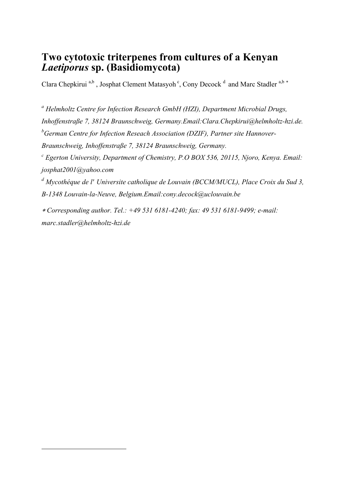# **Two cytotoxic triterpenes from cultures of a Kenyan**  *Laetiporus* **sp. (Basidiomycota)**

Clara Chepkirui<sup>a,b</sup>, Josphat Clement Matasyoh<sup>c</sup>, Cony Decock<sup>d</sup> and Marc Stadler<sup>a,b\*</sup>

<sup>a</sup> Helmholtz Centre for Infection Research GmbH (HZI), Department Microbial Drugs, *Inhoffenstraße 7, 38124 Braunschweig, Germany.Email:Clara.Chepkirui@helmholtz-hzi.de. <sup>b</sup>German Centre for Infection Reseach Association (DZIF), Partner site Hannover-Braunschweig, Inhoffenstraße 7, 38124 Braunschweig, Germany. c Egerton University, Department of Chemistry, P.O BOX 536, 20115, Njoro, Kenya. Email: josphat2001@yahoo.com*  <sup>d</sup> Mycothéque de l'Universite catholique de Louvain (BCCM/MUCL), Place Croix du Sud 3, *B-1348 Louvain-la-Neuve, Belgium.Email:cony.decock@uclouvain.be* 

 *Corresponding author. Tel.: +49 531 6181-4240; fax: 49 531 6181-9499; e-mail: marc.stadler@helmholtz-hzi.de*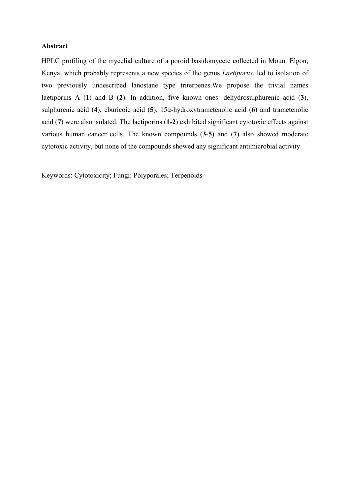## **Abstract**

HPLC profiling of the mycelial culture of a poroid basidomycete collected in Mount Elgon, Kenya, which probably represents a new species of the genus *Laetiporus*, led to isolation of two previously undescribed lanostane type triterpenes.We propose the trivial names laetiporins A (**1**) and B (**2**). In addition, five known ones: dehydrosulphurenic acid (**3**), sulphurenic acid (4), eburicoic acid (**5**), 15α-hydroxytrametenolic acid (**6**) and trametenolic acid (**7**) were also isolated. The laetiporins (**1**-**2**) exhibited significant cytotoxic effects against various human cancer cells. The known compounds (**3**-**5**) and (**7**) also showed moderate cytotoxic activity, but none of the compounds showed any significant antimicrobial activity.

Keywords: Cytotoxicity; Fungi: Polyporales; Terpenoids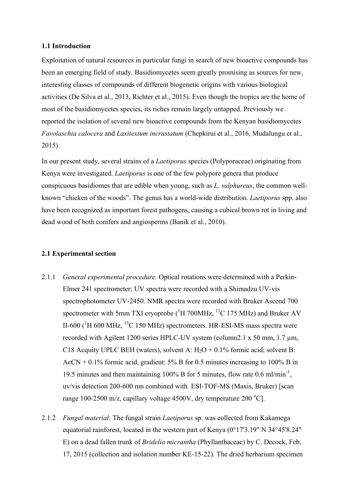## **1.1 Introduction**

Exploitation of natural resources in particular fungi in search of new bioactive compounds has been an emerging field of study. Basidiomycetes seem greatly promising as sources for new, interesting classes of compounds of different biogenetic origins with various biological activities (De Silva et al., 2013, Richter et al., 2015). Even though the tropics are the home of most of the basidiomycetes species, its riches remain largely untapped. Previously we reported the isolation of several new bioactive compounds from the Kenyan basidiomycetes *Favolaschia calocera* and *Laxitextum incrustatum* (Chepkirui et al., 2016, Mudalungu et al., 2015).

In our present study, several strains of a *Laetiporus* species (Polyporaceae) originating from Kenya were investigated. *Laetiporus* is one of the few polypore genera that produce conspicuous basidiomes that are edible when young, such as *L. sulphureus*, the common wellknown "chicken of the woods". The genus has a world-wide distribution. *Laetiporus* spp. also have been recognized as important forest pathogens, causing a cubical brown rot in living and dead wood of both conifers and angiosperms (Banik et al., 2010).

## **2.1 Experimental section**

- 2.1.1 *General experimental procedure.* Optical rotations were determined with a Perkin-Elmer 241 spectrometer; UV spectra were recorded with a Shimadzu UV-vis spectrophotometer UV-2450. NMR spectra were recorded with Bruker Ascend 700 spectrometer with 5mm TXI cryoprobe  $(^1H 700MHz$ , <sup>13</sup>C 175 MHz) and Bruker AV II-600 ( ${}^{1}$ H 600 MHz,  ${}^{13}$ C 150 MHz) spectrometers. HR-ESI-MS mass spectra were recorded with Agilent 1200 series HPLC-UV system (column2.1 x 50 mm, 1.7 um, C18 Acquity UPLC BEH (waters), solvent A:  $H_2O + 0.1\%$  formic acid; solvent B:  $ACCN + 0.1\%$  formic acid, gradient: 5% B for 0.5 minutes increasing to 100% B in 19.5 minutes and then maintaining 100% B for 5 minutes, flow rate 0.6 ml/min-1 , uv/vis detection 200-600 nm combined with ESI-TOF-MS (Maxis, Bruker) [scan range 100-2500 m/z, capillary voltage 4500V, dry temperature 200  $^{\circ}$ C].
- 2.1.2 *Fungal material*: The fungal strain *Laetiporus* sp. was collected from Kakamega equatorial rainforest, located in the western part of Kenya (0°17'3.19" N 34°45'8.24" E) on a dead fallen trunk of *Bridelia micrantha* (Phyllanthaceae) by C. Decock, Feb. 17, 2015 (collection and isolation number KE-15-22). The dried herbarium specimen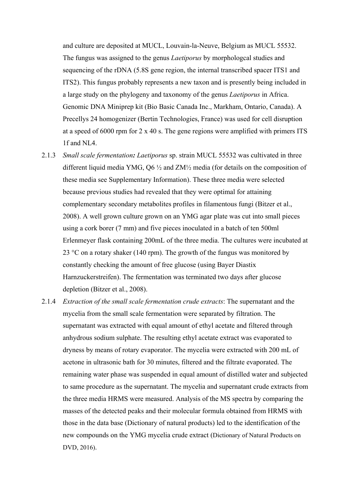and culture are deposited at MUCL, Louvain-la-Neuve, Belgium as MUCL 55532. The fungus was assigned to the genus *Laetiporus* by morphologcal studies and sequencing of the rDNA (5.8S gene region, the internal transcribed spacer ITS1 and ITS2). This fungus probably represents a new taxon and is presently being included in a large study on the phylogeny and taxonomy of the genus *Laetiporus* in Africa. Genomic DNA Miniprep kit (Bio Basic Canada Inc., Markham, Ontario, Canada). A Precellys 24 homogenizer (Bertin Technologies, France) was used for cell disruption at a speed of 6000 rpm for 2 x 40 s. The gene regions were amplified with primers ITS 1f and NL4.

- 2.1.3 *Small scale fermentation: Laetiporus* sp. strain MUCL 55532 was cultivated in three different liquid media YMG, Q6 ½ and ZM½ media (for details on the composition of these media see Supplementary Information). These three media were selected because previous studies had revealed that they were optimal for attaining complementary secondary metabolites profiles in filamentous fungi (Bitzer et al., 2008). A well grown culture grown on an YMG agar plate was cut into small pieces using a cork borer (7 mm) and five pieces inoculated in a batch of ten 500ml Erlenmeyer flask containing 200mL of the three media. The cultures were incubated at 23 °C on a rotary shaker (140 rpm). The growth of the fungus was monitored by constantly checking the amount of free glucose (using Bayer Diastix Harnzuckerstreifen). The fermentation was terminated two days after glucose depletion (Bitzer et al., 2008).
- 2.1.4 *Extraction of the small scale fermentation crude extracts*: The supernatant and the mycelia from the small scale fermentation were separated by filtration. The supernatant was extracted with equal amount of ethyl acetate and filtered through anhydrous sodium sulphate. The resulting ethyl acetate extract was evaporated to dryness by means of rotary evaporator. The mycelia were extracted with 200 mL of acetone in ultrasonic bath for 30 minutes, filtered and the filtrate evaporated. The remaining water phase was suspended in equal amount of distilled water and subjected to same procedure as the supernatant. The mycelia and supernatant crude extracts from the three media HRMS were measured. Analysis of the MS spectra by comparing the masses of the detected peaks and their molecular formula obtained from HRMS with those in the data base (Dictionary of natural products) led to the identification of the new compounds on the YMG mycelia crude extract (Dictionary of Natural Products on DVD, 2016).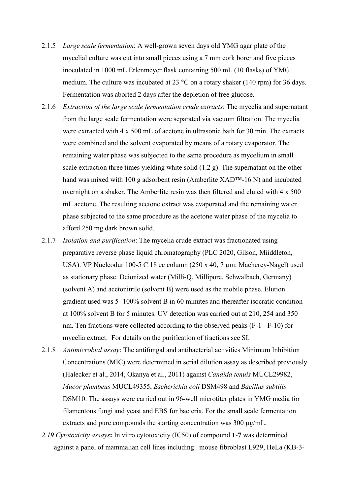- 2.1.5 *Large scale fermentation*: A well-grown seven days old YMG agar plate of the mycelial culture was cut into small pieces using a 7 mm cork borer and five pieces inoculated in 1000 mL Erlenmeyer flask containing 500 mL (10 flasks) of YMG medium. The culture was incubated at 23 °C on a rotary shaker (140 rpm) for 36 days. Fermentation was aborted 2 days after the depletion of free glucose.
- 2.1.6 *Extraction of the large scale fermentation crude extracts*: The mycelia and supernatant from the large scale fermentation were separated via vacuum filtration. The mycelia were extracted with 4 x 500 mL of acetone in ultrasonic bath for 30 min. The extracts were combined and the solvent evaporated by means of a rotary evaporator. The remaining water phase was subjected to the same procedure as mycelium in small scale extraction three times yielding white solid (1.2 g). The supernatant on the other hand was mixed with 100 g adsorbent resin (Amberlite XAD™-16 N) and incubated overnight on a shaker. The Amberlite resin was then filtered and eluted with 4 x 500 mL acetone. The resulting acetone extract was evaporated and the remaining water phase subjected to the same procedure as the acetone water phase of the mycelia to afford 250 mg dark brown solid.
- 2.1.7 *Isolation and purification*: The mycelia crude extract was fractionated using preparative reverse phase liquid chromatography (PLC 2020, Gilson, Miiddleton, USA). VP Nucleodur 100-5 C 18 ec column (250 x 40, 7 µm: Macherey-Nagel) used as stationary phase. Deionized water (Milli-Q, Millipore, Schwalbach, Germany) (solvent A) and acetonitrile (solvent B) were used as the mobile phase. Elution gradient used was 5- 100% solvent B in 60 minutes and thereafter isocratic condition at 100% solvent B for 5 minutes. UV detection was carried out at 210, 254 and 350 nm. Ten fractions were collected according to the observed peaks (F-1 - F-10) for mycelia extract. For details on the purification of fractions see SI.
- 2.1.8 *Antimicrobial assay*: The antifungal and antibacterial activities Minimum Inhibition Concentrations (MIC) were determined in serial dilution assay as described previously (Halecker et al., 2014, Okanya et al., 2011) against *Candida tenuis* MUCL29982, *Mucor plumbeus* MUCL49355, *Escherichia coli* DSM498 and *Bacillus subtilis* DSM10. The assays were carried out in 96-well microtiter plates in YMG media for filamentous fungi and yeast and EBS for bacteria. For the small scale fermentation extracts and pure compounds the starting concentration was 300 µg/mL.
- *2.19 Cytotoxicity assays***:** In vitro cytotoxicity (IC50) of compound **1**-**7** was determined against a panel of mammalian cell lines including mouse fibroblast L929, HeLa (KB-3-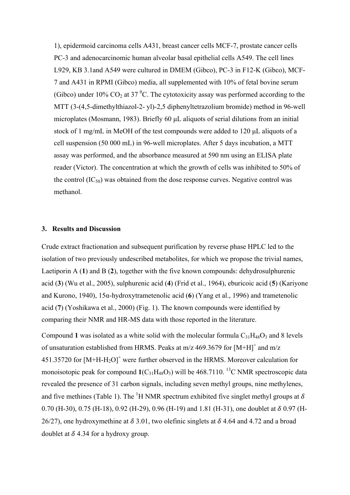1), epidermoid carcinoma cells A431, breast cancer cells MCF-7, prostate cancer cells PC-3 and adenocarcinomic human alveolar basal epithelial cells A549. The cell lines L929, KB 3.1and A549 were cultured in DMEM (Gibco), PC-3 in F12-K (Gibco), MCF-7 and A431 in RPMI (Gibco) media, all supplemented with 10% of fetal bovine serum (Gibco) under 10%  $CO_2$  at 37 <sup>o</sup>C. The cytotoxicity assay was performed according to the MTT (3-(4,5-dimethylthiazol-2- yl)-2,5 diphenyltetrazolium bromide) method in 96-well microplates (Mosmann, 1983). Briefly 60 µL aliquots of serial dilutions from an initial stock of 1 mg/mL in MeOH of the test compounds were added to 120 µL aliquots of a cell suspension (50 000 mL) in 96-well microplates. After 5 days incubation, a MTT assay was performed, and the absorbance measured at 590 nm using an ELISA plate reader (Victor). The concentration at which the growth of cells was inhibited to 50% of the control  $(IC_{50})$  was obtained from the dose response curves. Negative control was methanol.

## **3. Results and Discussion**

Crude extract fractionation and subsequent purification by reverse phase HPLC led to the isolation of two previously undescribed metabolites, for which we propose the trivial names, Laetiporin A (**1**) and B (**2**), together with the five known compounds: dehydrosulphurenic acid (**3**) (Wu et al., 2005), sulphurenic acid (**4**) (Frid et al., 1964), eburicoic acid (**5**) (Kariyone and Kurono, 1940), 15α-hydroxytrametenolic acid (**6**) (Yang et al., 1996) and trametenolic acid (**7**) (Yoshikawa et al., 2000) (Fig. 1). The known compounds were identified by comparing their NMR and HR-MS data with those reported in the literature.

Compound 1 was isolated as a white solid with the molecular formula  $C_{31}H_{48}O_3$  and 8 levels of unsaturation established from HRMS. Peaks at  $m/z$  469.3679 for  $[M+H]$ <sup>+</sup> and  $m/z$ 451.35720 for  $[M+H-H<sub>2</sub>O]^+$  were further observed in the HRMS. Moreover calculation for monoisotopic peak for compound  $1(C_{31}H_{48}O_3)$  will be 468.7110. <sup>13</sup>C NMR spectroscopic data revealed the presence of 31 carbon signals, including seven methyl groups, nine methylenes, and five methines (Table 1). The <sup>1</sup>H NMR spectrum exhibited five singlet methyl groups at  $\delta$ 0.70 (H-30), 0.75 (H-18), 0.92 (H-29), 0.96 (H-19) and 1.81 (H-31), one doublet at  $\delta$  0.97 (H-26/27), one hydroxymethine at  $\delta$  3.01, two olefinic singlets at  $\delta$  4.64 and 4.72 and a broad doublet at  $\delta$  4.34 for a hydroxy group.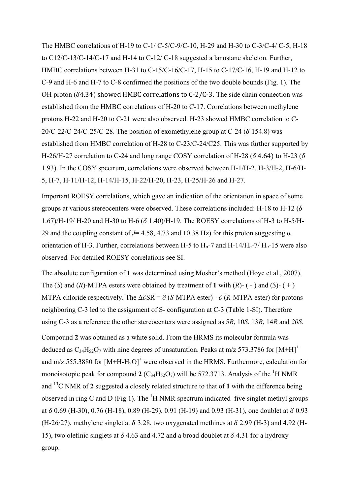The HMBC correlations of H-19 to C-1/ C-5/C-9/C-10, H-29 and H-30 to C-3/C-4/ C-5, H-18 to C12/C-13/C-14/C-17 and H-14 to C-12/ C-18 suggested a lanostane skeleton. Further, HMBC correlations between H-31 to C-15/C-16/C-17, H-15 to C-17/C-16, H-19 and H-12 to C-9 and H-6 and H-7 to C-8 confirmed the positions of the two double bounds (Fig. 1). The OH proton ( $\delta$ 4.34) showed HMBC correlations to C-2/C-3. The side chain connection was established from the HMBC correlations of H-20 to C-17. Correlations between methylene protons H-22 and H-20 to C-21 were also observed. H-23 showed HMBC correlation to C-20/C-22/C-24/C-25/C-28. The position of exomethylene group at C-24 ( $\delta$  154.8) was established from HMBC correlation of H-28 to C-23/C-24/C25. This was further supported by H-26/H-27 correlation to C-24 and long range COSY correlation of H-28 ( $\delta$  4.64) to H-23 ( $\delta$ 1.93). In the COSY spectrum, correlations were observed between H-1/H-2, H-3/H-2, H-6/H-5, H-7, H-11/H-12, H-14/H-15, H-22/H-20, H-23, H-25/H-26 and H-27.

Important ROESY correlations, which gave an indication of the orientation in space of some groups at various stereocenters were observed. These correlations included: H-18 to H-12 ( $\delta$ ) 1.67)/H-19/ H-20 and H-30 to H-6 ( $\delta$  1.40)/H-19. The ROESY correlations of H-3 to H-5/H-29 and the coupling constant of  $J=$  4.58, 4.73 and 10.38 Hz) for this proton suggesting  $\alpha$ orientation of H-3. Further, correlations between H-5 to  $H_{\alpha}$ -7 and H-14/ $H_{\alpha}$ -7/  $H_{\alpha}$ -15 were also observed. For detailed ROESY correlations see SI.

The absolute configuration of **1** was determined using Mosher's method (Hoye et al., 2007). The (*S*) and (*R*)-MTPA esters were obtained by treatment of 1 with (*R*)- (-) and (*S*)- (+) MTPA chloride respectively. The Δ∂SR = ∂ (*S*-MTPA ester) - ∂ (*R*-MTPA ester) for protons neighboring C-3 led to the assignment of S- configuration at C-3 (Table 1-SI). Therefore using C-3 as a reference the other stereocenters were assigned as 5*R*, 10*S*, 13*R*, 14*R* and *20S.*

Compound **2** was obtained as a white solid. From the HRMS its molecular formula was deduced as  $C_{34}H_{52}O_7$  with nine degrees of unsaturation. Peaks at m/z 573.3786 for [M+H]<sup>+</sup> and m/z 555.3880 for  $[M+H-H<sub>2</sub>O]^+$  were observed in the HRMS. Furthermore, calculation for monoisotopic peak for compound **2** ( $C_{34}H_{52}O_7$ ) will be 572.3713. Analysis of the <sup>1</sup>H NMR and <sup>13</sup>C NMR of **2** suggested a closely related structure to that of **1** with the difference being observed in ring C and D (Fig 1). The  $<sup>1</sup>H NMR$  spectrum indicated five singlet methyl groups</sup> at  $\delta$  0.69 (H-30), 0.76 (H-18), 0.89 (H-29), 0.91 (H-19) and 0.93 (H-31), one doublet at  $\delta$  0.93 (H-26/27), methylene singlet at  $\delta$  3.28, two oxygenated methines at  $\delta$  2.99 (H-3) and 4.92 (H-15), two olefinic singlets at  $\delta$  4.63 and 4.72 and a broad doublet at  $\delta$  4.31 for a hydroxy group.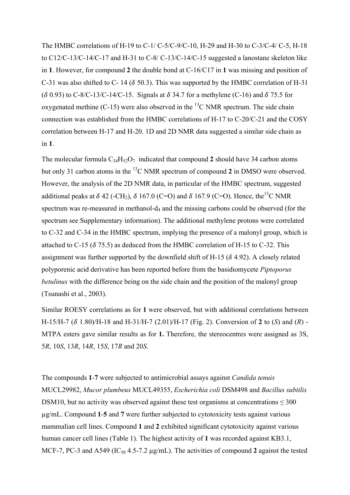The HMBC correlations of H-19 to C-1/ C-5/C-9/C-10, H-29 and H-30 to C-3/C-4/ C-5, H-18 to C12/C-13/C-14/C-17 and H-31 to C-8/ C-13/C-14/C-15 suggested a lanostane skeleton like in **1**. However, for compound **2** the double bond at C-16/C17 in **1** was missing and position of C-31 was also shifted to C- 14 ( $\delta$  50.3). This was supported by the HMBC correlation of H-31 ( $\delta$  0.93) to C-8/C-13/C-14/C-15. Signals at  $\delta$  34.7 for a methylene (C-16) and  $\delta$  75.5 for oxygenated methine  $(C-15)$  were also observed in the <sup>13</sup>C NMR spectrum. The side chain connection was established from the HMBC correlations of H-17 to C-20/C-21 and the COSY correlation between H-17 and H-20. 1D and 2D NMR data suggested a similar side chain as in **1**.

The molecular formula  $C_{34}H_{52}O_7$  indicated that compound 2 should have 34 carbon atoms but only 31 carbon atoms in the <sup>13</sup>C NMR spectrum of compound **2** in DMSO were observed. However, the analysis of the 2D NMR data, in particular of the HMBC spectrum, suggested additional peaks at  $\delta$  42 (-CH<sub>2</sub>),  $\delta$  167.0 (C=O) and  $\delta$  167.9 (C=O). Hence, the<sup>13</sup>C NMR spectrum was re-measured in methanol-d<sub>4</sub> and the missing carbons could be observed (for the spectrum see Supplementary information). The additional methylene protons were correlated to C-32 and C-34 in the HMBC spectrum, implying the presence of a malonyl group, which is attached to C-15 ( $\delta$  75.5) as deduced from the HMBC correlation of H-15 to C-32. This assignment was further supported by the downfield shift of H-15 ( $\delta$  4.92). A closely related polyporenic acid derivative has been reported before from the basidiomycete *Piptoporus betulinus* with the difference being on the side chain and the position of the malonyl group (Tsunashi et al., 2003).

Similar ROESY correlations as for **1** were observed, but with additional correlations between H-15/H-7 ( $\delta$  1.80)/H-18 and H-31/H-7 (2.01)/H-17 (Fig. 2). Conversion of 2 to (*S*) and (*R*) -MTPA esters gave similar results as for **1.** Therefore, the stereocentres were assigned as 3S, 5*R*, 10*S*, 13*R*, 14*R*, 15*S*, 17*R* and 20*S*.

The compounds **1**-**7** were subjected to antimicrobial assays against *Candida tenuis* MUCL29982, *Mucor plumbeus* MUCL49355, *Escherichia coli* DSM498 and *Bacillus subtilis* DSM10, but no activity was observed against these test organisms at concentrations  $\leq 300$ µg/mL. Compound **1**-**5** and **7** were further subjected to cytotoxicity tests against various mammalian cell lines. Compound **1** and **2** exhibited significant cytotoxicity against various human cancer cell lines (Table 1). The highest activity of **1** was recorded against KB3.1, MCF-7, PC-3 and A549 ( $IC_{50}$  4.5-7.2  $\mu$ g/mL). The activities of compound 2 against the tested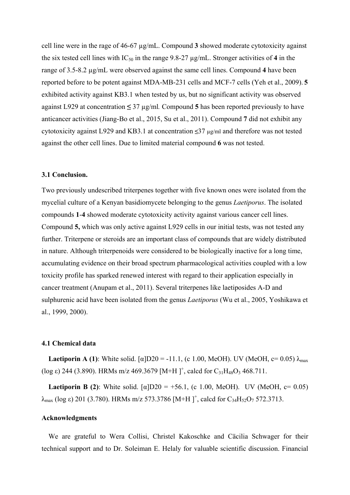cell line were in the rage of 46-67 µg/mL. Compound **3** showed moderate cytotoxicity against the six tested cell lines with  $IC_{50}$  in the range 9.8-27  $\mu$ g/mL. Stronger activities of 4 in the range of 3.5-8.2 µg/mL were observed against the same cell lines. Compound **4** have been reported before to be potent against MDA-MB-231 cells and MCF-7 cells (Yeh et al., 2009). **5** exhibited activity against KB3.1 when tested by us, but no significant activity was observed against L929 at concentration **≤** 37 µg/ml*.* Compound **5** has been reported previously to have anticancer activities (Jiang-Bo et al., 2015, Su et al., 2011). Compound **7** did not exhibit any cytotoxicity against L929 and KB3.1 at concentration **≤**37 µg/ml and therefore was not tested against the other cell lines. Due to limited material compound **6** was not tested.

#### **3.1 Conclusion.**

Two previously undescribed triterpenes together with five known ones were isolated from the mycelial culture of a Kenyan basidiomycete belonging to the genus *Laetiporus*. The isolated compounds **1**-**4** showed moderate cytotoxicity activity against various cancer cell lines. Compound **5,** which was only active against L929 cells in our initial tests, was not tested any further. Triterpene or steroids are an important class of compounds that are widely distributed in nature. Although triterpenoids were considered to be biologically inactive for a long time, accumulating evidence on their broad spectrum pharmacological activities coupled with a low toxicity profile has sparked renewed interest with regard to their application especially in cancer treatment (Anupam et al., 2011). Several triterpenes like laetiposides A-D and sulphurenic acid have been isolated from the genus *Laetiporus* (Wu et al., 2005, Yoshikawa et al., 1999, 2000).

## **4.1 Chemical data**

**Laetiporin A (1):** White solid.  $\lceil \alpha \rceil D20 = -11.1$ , (c 1.00, MeOH). UV (MeOH, c= 0.05)  $\lambda_{\text{max}}$ (log  $\varepsilon$ ) 244 (3.890). HRMs m/z 469.3679 [M+H]<sup>+</sup>, calcd for C<sub>31</sub>H<sub>48</sub>O<sub>3</sub> 468.711.

**Laetiporin B (2):** White solid.  $\lceil \alpha \rceil$ D20 = +56.1, (c 1.00, MeOH). UV (MeOH, c= 0.05)  $λ_{max}$  (log ε) 201 (3.780). HRMs m/z 573.3786 [M+H]<sup>+</sup>, calcd for C<sub>34</sub>H<sub>52</sub>O<sub>7</sub> 572.3713.

### **Acknowledgments**

We are grateful to Wera Collisi, Christel Kakoschke and Cäcilia Schwager for their technical support and to Dr. Soleiman E. Helaly for valuable scientific discussion. Financial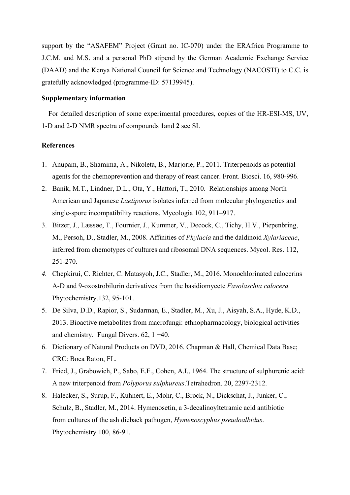support by the "ASAFEM" Project (Grant no. IC-070) under the ERAfrica Programme to J.C.M. and M.S. and a personal PhD stipend by the German Academic Exchange Service (DAAD) and the Kenya National Council for Science and Technology (NACOSTI) to C.C. is gratefully acknowledged (programme-ID: 57139945).

## **Supplementary information**

For detailed description of some experimental procedures, copies of the HR-ESI-MS, UV, 1-D and 2-D NMR spectra of compounds **1**and **2** see SI.

## **References**

- 1. Anupam, B., Shamima, A., Nikoleta, B., Marjorie, P*.*, 2011. Triterpenoids as potential agents for the chemoprevention and therapy of reast cancer. Front. Biosci. 16, 980-996.
- 2. Banik, M.T., Lindner, D.L., Ota, Y., Hattori, T., 2010. Relationships among North American and Japanese *Laetiporus* isolates inferred from molecular phylogenetics and single-spore incompatibility reactions. Mycologia 102, 911–917.
- 3. Bitzer, J., Læssøe, T., Fournier, J., Kummer, V., Decock, C., Tichy, H.V., Piepenbring, M., Persoh, D., Stadler, M., 2008. Affinities of *Phylacia* and the daldinoid *Xylariaceae*, inferred from chemotypes of cultures and ribosomal DNA sequences. Mycol. Res. 112, 251-270.
- *4.* Chepkirui, C. Richter, C. Matasyoh, J.C., Stadler, M., 2016. Monochlorinated calocerins A-D and 9-oxostrobilurin derivatives from the basidiomycete *Favolaschia calocera.* Phytochemistry.132, 95-101.
- 5. De Silva, D.D., Rapior, S., Sudarman, E., Stadler, M., Xu, J., Aisyah, S.A., Hyde, K.D., 2013. Bioactive metabolites from macrofungi: ethnopharmacology, biological activities and chemistry*.* Fungal Divers. 62, 1 −40.
- 6. Dictionary of Natural Products on DVD, 2016. Chapman & Hall, Chemical Data Base; CRC: Boca Raton, FL.
- 7. Fried, J., Grabowich, P., Sabo, E.F., Cohen, A.I., 1964. The structure of sulphurenic acid: A new triterpenoid from *Polyporus sulphureus*.Tetrahedron. 20, 2297-2312.
- 8. Halecker, S., Surup, F., Kuhnert, E., Mohr, C., Brock, N., Dickschat, J., Junker, C., Schulz, B., Stadler, M., 2014. Hymenosetin, a 3-decalinoyltetramic acid antibiotic from cultures of the ash dieback pathogen, *Hymenoscyphus pseudoalbidus*. Phytochemistry 100, 86-91.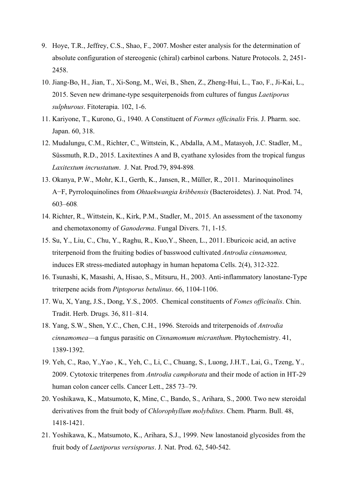- 9. Hoye, T.R., Jeffrey, C.S., Shao, F., 2007. Mosher ester analysis for the determination of absolute configuration of stereogenic (chiral) carbinol carbons. Nature Protocols. 2, 2451- 2458.
- 10. Jiang-Bo, H., Jian, T., Xi-Song, M., Wei, B., Shen, Z., Zheng-Hui, L., Tao, F., Ji-Kai, L., 2015. Seven new drimane-type sesquiterpenoids from cultures of fungus *Laetiporus sulphurous*. Fitoterapia. 102, 1-6.
- 11. Kariyone, T., Kurono, G., 1940. A Constituent of *Formes officinalis* Fris. J. Pharm. soc. Japan. 60, 318.
- 12. Mudalungu, C.M., Richter, C., Wittstein, K., Abdalla, A.M., Matasyoh, J.C. Stadler, M., Süssmuth, R.D., 2015. Laxitextines A and B, cyathane xylosides from the tropical fungus *Laxitextum incrustatum*. J. Nat. Prod.79, 894-898.
- 13. Okanya, P.W., Mohr, K.I., Gerth, K., Jansen, R., Müller, R., 2011. Marinoquinolines A−F, Pyrroloquinolines from *Ohtaekwangia kribbensis* (Bacteroidetes). J. Nat. Prod. 74, 603–608.
- 14. Richter, R., Wittstein, K., Kirk, P.M., Stadler, M., 2015. An assessment of the taxonomy and chemotaxonomy of *Ganoderma*. Fungal Divers. 71, 1-15.
- 15. Su, Y., Liu, C., Chu, Y., Raghu, R., Kuo,Y., Sheen, L., 2011. Eburicoic acid, an active triterpenoid from the fruiting bodies of basswood cultivated *Antrodia cinnamomea,* induces ER stress-mediated autophagy in human hepatoma Cells. 2(4), 312-322.
- 16. Tsunashi, K, Masashi, A, Hisao, S., Mitsuru, H., 2003. Anti-inflammatory lanostane-Type triterpene acids from *Piptoporus betulinus*. 66, 1104-1106.
- 17. Wu, X, Yang, J.S., Dong, Y.S., 2005. Chemical constituents of *Fomes officinalis*. Chin. Tradit. Herb. Drugs. 36, 811–814.
- 18. Yang, S.W., Shen, Y.C., Chen, C.H., 1996. Steroids and triterpenoids of *Antrodia cinnamomea*—a fungus parasitic on *Cinnamomum micranthum*. Phytochemistry. 41, 1389-1392.
- 19. Yeh, C., Rao, Y.,Yao , K., Yeh, C., Li, C., Chuang, S., Luong, J.H.T., Lai, G., Tzeng, Y., 2009. Cytotoxic triterpenes from *Antrodia camphorata* and their mode of action in HT-29 human colon cancer cells. Cancer Lett., 285 73–79.
- 20. Yoshikawa, K., Matsumoto, K, Mine, C., Bando, S., Arihara, S., 2000. Two new steroidal derivatives from the fruit body of *Chlorophyllum molybdites*. Chem. Pharm. Bull. 48, 1418-1421.
- 21. Yoshikawa, K., Matsumoto, K., Arihara, S.J., 1999. New lanostanoid glycosides from the fruit body of *Laetiporus versisporus*. J. Nat. Prod. 62, 540-542.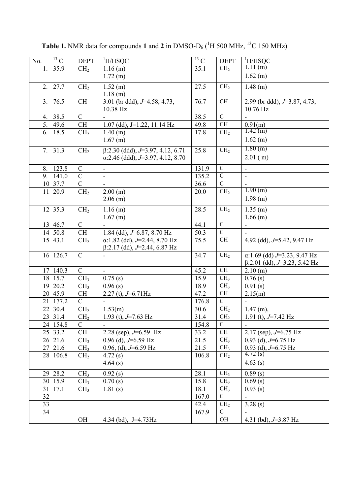| $\overline{N}$ o. | $\overline{^{13}C}$  | <b>DEPT</b>     | <sup>1</sup> H/HSQC                      | $\overline{^{13}C}$ | <b>DEPT</b>     | <sup>1</sup> H/HSQC                 |
|-------------------|----------------------|-----------------|------------------------------------------|---------------------|-----------------|-------------------------------------|
| 1.                | 35.9                 | CH <sub>2</sub> | $1.16$ (m)                               | 35.1                | CH <sub>2</sub> | 1.11(m)                             |
|                   |                      |                 | 1.72(m)                                  |                     |                 | $1.62$ (m)                          |
| 2.                | 27.7                 | CH <sub>2</sub> | 1.52(m)                                  | 27.5                | CH <sub>2</sub> | $1.48$ (m)                          |
|                   |                      |                 | $1.18$ (m)                               |                     |                 |                                     |
| 3.                | 76.5                 | <b>CH</b>       | 3.01 (br ddd), $J=4.58$ , 4.73,          | 76.7                | $\rm CH$        | 2.99 (br ddd), $J=3.87, 4.73$ ,     |
|                   |                      |                 | 10.38 Hz                                 |                     |                 | 10.76 Hz                            |
| 4.                | 38.5                 | $\mathcal{C}$   |                                          | 38.5                | $\mathbf C$     |                                     |
| 5.                | 49.6                 | CH              | $1.07$ (dd), J=1.22, 11.14 Hz            | 49.8                | $\rm CH$        | 0.91(m)                             |
| 6.                | 18.5                 | CH <sub>2</sub> | $1.40$ (m)                               | 17.8                | CH <sub>2</sub> | 1.42(m)                             |
|                   |                      |                 | $1.67$ (m)                               |                     |                 | $1.62$ (m)                          |
| 7.                | 31.3                 | CH <sub>2</sub> | $\beta$ :2.30 (ddd), J=3.97, 4.12, 6.71  | 25.8                | CH <sub>2</sub> | 1.80(m)                             |
|                   |                      |                 | $\alpha$ :2.46 (ddd), J=3.97, 4.12, 8.70 |                     |                 | $2.01$ (m)                          |
| 8.                | 123.8                | $\mathcal{C}$   |                                          | 131.9               | ${\bf C}$       |                                     |
| 9.                | 141.0                | $\mathcal{C}$   | $\blacksquare$                           | 135.2               | $\mathbf C$     |                                     |
|                   | 10 37.7              | $\overline{C}$  | $\overline{\phantom{0}}$                 | 36.6                | $\overline{C}$  |                                     |
| 11                | 20.9                 | CH <sub>2</sub> | $\blacksquare$                           | 20.0                | CH <sub>2</sub> | 1.90(m)                             |
|                   |                      |                 | 2.00(m)<br>$2.06$ (m)                    |                     |                 | $1.98$ (m)                          |
|                   |                      |                 |                                          |                     |                 |                                     |
| 12                | 35.3                 | CH <sub>2</sub> | $1.16$ (m)                               | 28.5                | CH <sub>2</sub> | $1.35$ (m)                          |
|                   |                      |                 | $1.67$ (m)                               |                     |                 | $1.66$ (m)                          |
|                   | $13 \overline{46.7}$ | $\overline{C}$  |                                          | 44.1                | $\overline{C}$  |                                     |
|                   | 14 50.8              | <b>CH</b>       | 1.84 (dd), $J=6.87$ , 8.70 Hz            | 50.3                | $\overline{C}$  |                                     |
| 15                | 43.1                 | CH <sub>2</sub> | $\alpha$ :1.82 (dd), J=2.44, 8.70 Hz     | 75.5                | $\rm CH$        | 4.92 (dd), $J=5.42$ , 9.47 Hz       |
|                   |                      |                 | $\beta$ :2.17 (dd), J=2.44, 6.87 Hz      |                     |                 |                                     |
|                   | 16 126.7             | $\mathcal{C}$   | $\blacksquare$                           | 34.7                | CH <sub>2</sub> | $\alpha$ :1.69 (dd) J=3.23, 9.47 Hz |
|                   |                      |                 |                                          |                     |                 | $\beta$ :2.01 (dd), J=3.23, 5.42 Hz |
| 17                | 140.3                | $\overline{C}$  |                                          | 45.2                | CH              | 2.10(m)                             |
|                   | 18 15.7              | CH <sub>3</sub> | 0.75(s)                                  | 15.9                | CH <sub>3</sub> | 0.76(s)                             |
| 19                | 20.2                 | CH <sub>3</sub> | 0.96(s)                                  | 18.9                | CH <sub>3</sub> | 0.91(s)                             |
|                   | 20 45.9              | CH              | $2.27$ (t), $J=6.71$ Hz                  | 47.2                | $\rm CH$        | 2.15(m)                             |
| 21                | 177.2                | $\mathbf C$     |                                          | 176.8               | $\mathbf C$     |                                     |
|                   | 22 30.4              | CH <sub>2</sub> | 1.53(m)                                  | 30.6                | CH <sub>2</sub> | $1.47$ (m),                         |
|                   | 23 31.4              | CH <sub>2</sub> | 1.93 (t), $J=7.63$ Hz                    | 31.4                | CH <sub>2</sub> | 1.91 (t), $J=7.42$ Hz               |
|                   | 24 154.8             | $\mathcal{C}$   | $\overline{a}$                           | 154.8               | $\overline{C}$  |                                     |
|                   | 25 33.2              | CH              | 2.28 (sep), $J=6.59$ Hz                  | 33.2                | <b>CH</b>       | 2.17 (sep), $J=6.75$ Hz             |
|                   | 26 21.6              | CH <sub>3</sub> | 0.96 (d), $J=6.59$ Hz                    | 21.5                | CH <sub>3</sub> | 0.93 (d), $J=6.75$ Hz               |
|                   | 27 21.6              | CH <sub>3</sub> | 0.96, (d), $J=6.59$ Hz                   | 21.5                | CH <sub>3</sub> | 0.93 (d), $J=6.75$ Hz               |
|                   | 28 106.8             | CH <sub>2</sub> | 4.72(s)                                  | 106.8               | CH <sub>2</sub> | 4.72(s)                             |
|                   |                      |                 | 4.64(s)                                  |                     |                 | 4.63(s)                             |
|                   | 29 28.2              | CH <sub>3</sub> | 0.92(s)                                  | 28.1                | CH <sub>3</sub> | 0.89(s)                             |
|                   | 30 15.9              | CH <sub>3</sub> | 0.70(s)                                  | 15.8                | CH <sub>3</sub> | 0.69(s)                             |
| 31                | 17.1                 | CH <sub>3</sub> | 1.81(s)                                  | 18.1                | CH <sub>3</sub> | 0.93(s)                             |
| 32                |                      |                 |                                          | 167.0               | $\mathbf C$     |                                     |
| 33                |                      |                 |                                          | 42.4                | CH <sub>2</sub> | 3.28(s)                             |
| 34                |                      |                 |                                          | 167.9               | $\mathcal{C}$   |                                     |
|                   |                      | <b>OH</b>       | 4.34 (bd), $J=4.73\text{Hz}$             |                     | OH              | 4.31 (bd), $J=3.87$ Hz              |
|                   |                      |                 |                                          |                     |                 |                                     |

**Table 1.** NMR data for compounds 1 and 2 in DMSO- $D_6$  ( ${}^{1}H$  500 MHz,  ${}^{13}C$  150 MHz)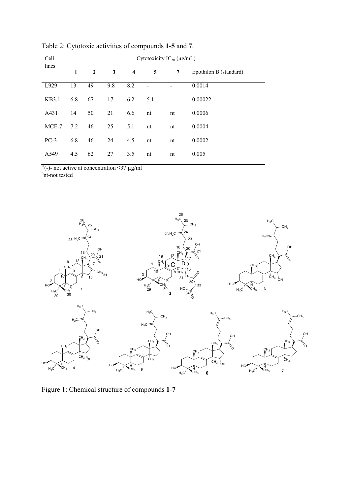| Cell   | Cytotoxicity $IC_{50}$ (µg/mL) |                |     |                  |     |                          |                        |  |  |
|--------|--------------------------------|----------------|-----|------------------|-----|--------------------------|------------------------|--|--|
| lines  | 1                              | $\overline{2}$ | 3   | $\boldsymbol{4}$ | 5   | 7                        | Epothilon B (standard) |  |  |
| L929   | 13                             | 49             | 9.8 | 8.2              |     |                          | 0.0014                 |  |  |
| KB3.1  | 6.8                            | 67             | 17  | 6.2              | 5.1 | $\overline{\phantom{a}}$ | 0.00022                |  |  |
| A431   | 14                             | 50             | 21  | 6.6              | nt  | nt                       | 0.0006                 |  |  |
| MCF-7  | 7.2                            | 46             | 25  | 5.1              | nt  | nt                       | 0.0004                 |  |  |
| $PC-3$ | 6.8                            | 46             | 24  | 4.5              | nt  | nt                       | 0.0002                 |  |  |
| A549   | 4.5                            | 62             | 27  | 3.5              | nt  | nt                       | 0.005                  |  |  |

Table 2: Cytotoxic activities of compounds **1**-**5** and **7**.

<sup>a</sup>(-)- not active at concentration  $\leq$ 37 µg/ml<br><sup>b</sup>nt-not tested



Figure 1: Chemical structure of compounds **1**-**7**